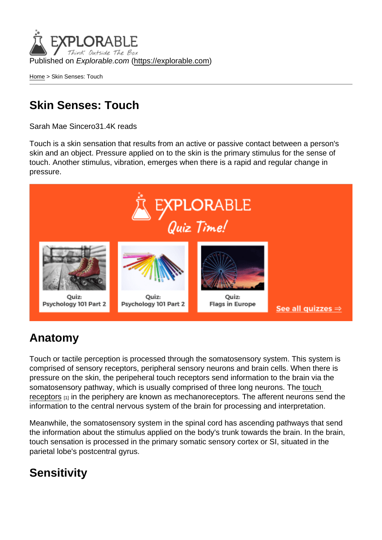Published on Explorable.com (<https://explorable.com>)

[Home](https://explorable.com/) > Skin Senses: Touch

## Skin Senses: Touch

Sarah Mae Sincero31.4K reads

Touch is a skin sensation that results from an active or passive contact between a person's skin and an object. Pressure applied on to the skin is the primary stimulus for the sense of touch. Another stimulus, vibration, emerges when there is a rapid and regular change in pressure.

## Anatomy

Touch or tactile perception is processed through the somatosensory system. This system is comprised of sensory receptors, peripheral sensory neurons and brain cells. When there is pressure on the skin, the peripeheral touch receptors send information to the brain via the somatosensory pathway, which is usually comprised of three long neurons. The [touch](http://www.faqs.org/health/topics/3/Touch.html)  [receptors](http://www.faqs.org/health/topics/3/Touch.html)  $[1]$  in the periphery are known as mechanoreceptors. The afferent neurons send the information to the central nervous system of the brain for processing and interpretation.

Meanwhile, the somatosensory system in the spinal cord has ascending pathways that send the information about the stimulus applied on the body's trunk towards the brain. In the brain, touch sensation is processed in the primary somatic sensory cortex or SI, situated in the parietal lobe's postcentral gyrus.

## **Sensitivity**